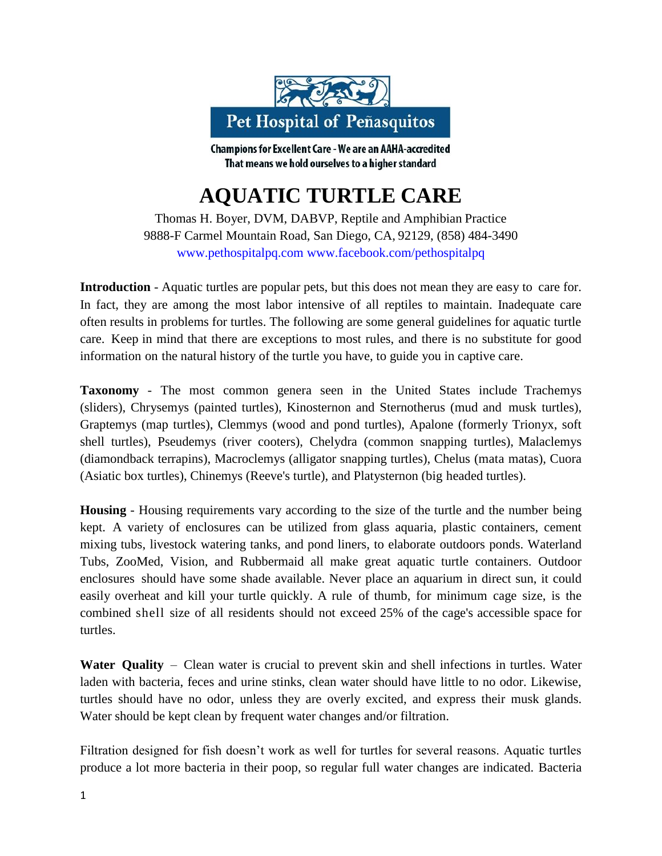

Champions for Excellent Care - We are an AAHA-accredited That means we hold ourselves to a higher standard

## **AQUATIC TURTLE CARE**

Thomas H. Boyer, DVM, DABVP, Reptile and Amphibian Practice 9888-F Carmel Mountain Road, San Diego, CA, 92129, (858) 484-3490 [www.pethospitalpq.com](http://www.pethospitalpq.com/) [www.facebook.com/pethospitalpq](http://www.facebook.com/pethospitalpq)

**Introduction** - Aquatic turtles are popular pets, but this does not mean they are easy to care for. In fact, they are among the most labor intensive of all reptiles to maintain. Inadequate care often results in problems for turtles. The following are some general guidelines for aquatic turtle care. Keep in mind that there are exceptions to most rules, and there is no substitute for good information on the natural history of the turtle you have, to guide you in captive care.

**Taxonomy** - The most common genera seen in the United States include Trachemys (sliders), Chrysemys (painted turtles), Kinosternon and Sternotherus (mud and musk turtles), Graptemys (map turtles), Clemmys (wood and pond turtles), Apalone (formerly Trionyx, soft shell turtles), Pseudemys (river cooters), Chelydra (common snapping turtles), Malaclemys (diamondback terrapins), Macroclemys (alligator snapping turtles), Chelus (mata matas), Cuora (Asiatic box turtles), Chinemys (Reeve's turtle), and Platysternon (big headed turtles).

**Housing** - Housing requirements vary according to the size of the turtle and the number being kept. A variety of enclosures can be utilized from glass aquaria, plastic containers, cement mixing tubs, livestock watering tanks, and pond liners, to elaborate outdoors ponds. Waterland Tubs, ZooMed, Vision, and Rubbermaid all make great aquatic turtle containers. Outdoor enclosures should have some shade available. Never place an aquarium in direct sun, it could easily overheat and kill your turtle quickly. A rule of thumb, for minimum cage size, is the combined shell size of all residents should not exceed 25% of the cage's accessible space for turtles.

**Water Quality** – Clean water is crucial to prevent skin and shell infections in turtles. Water laden with bacteria, feces and urine stinks, clean water should have little to no odor. Likewise, turtles should have no odor, unless they are overly excited, and express their musk glands. Water should be kept clean by frequent water changes and/or filtration.

Filtration designed for fish doesn't work as well for turtles for several reasons. Aquatic turtles produce a lot more bacteria in their poop, so regular full water changes are indicated. Bacteria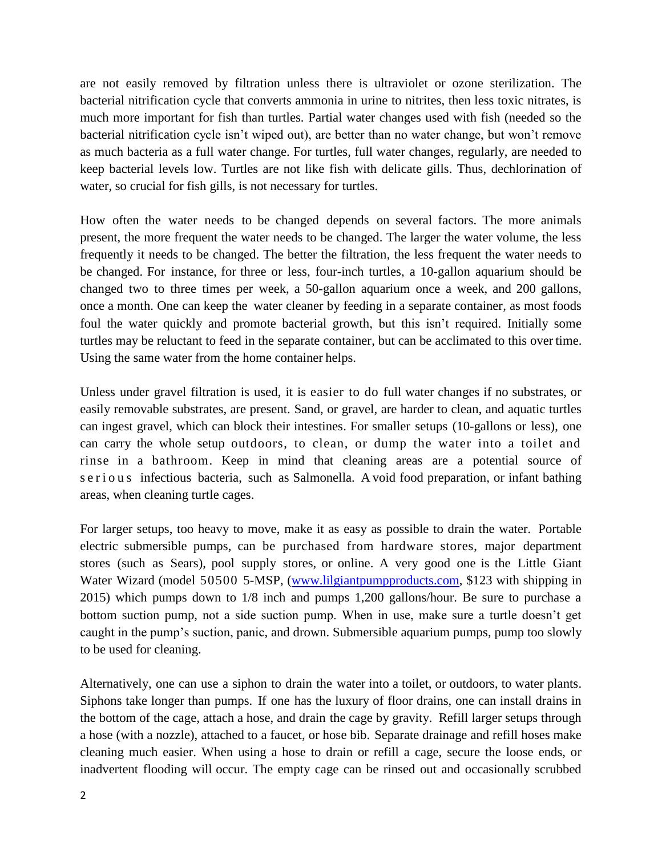are not easily removed by filtration unless there is ultraviolet or ozone sterilization. The bacterial nitrification cycle that converts ammonia in urine to nitrites, then less toxic nitrates, is much more important for fish than turtles. Partial water changes used with fish (needed so the bacterial nitrification cycle isn't wiped out), are better than no water change, but won't remove as much bacteria as a full water change. For turtles, full water changes, regularly, are needed to keep bacterial levels low. Turtles are not like fish with delicate gills. Thus, dechlorination of water, so crucial for fish gills, is not necessary for turtles.

How often the water needs to be changed depends on several factors. The more animals present, the more frequent the water needs to be changed. The larger the water volume, the less frequently it needs to be changed. The better the filtration, the less frequent the water needs to be changed. For instance, for three or less, four-inch turtles, a 10-gallon aquarium should be changed two to three times per week, a 50-gallon aquarium once a week, and 200 gallons, once a month. One can keep the water cleaner by feeding in a separate container, as most foods foul the water quickly and promote bacterial growth, but this isn't required. Initially some turtles may be reluctant to feed in the separate container, but can be acclimated to this over time. Using the same water from the home container helps.

Unless under gravel filtration is used, it is easier to do full water changes if no substrates, or easily removable substrates, are present. Sand, or gravel, are harder to clean, and aquatic turtles can ingest gravel, which can block their intestines. For smaller setups (10-gallons or less), one can carry the whole setup outdoors, to clean, or dump the water into a toilet and rinse in a bathroom. Keep in mind that cleaning areas are a potential source of s e r i o u s infectious bacteria, such as Salmonella. A void food preparation, or infant bathing areas, when cleaning turtle cages.

For larger setups, too heavy to move, make it as easy as possible to drain the water. Portable electric submersible pumps, can be purchased from hardware stores, major department stores (such as Sears), pool supply stores, or online. A very good one is the Little Giant Water Wizard (model 50500 5-MSP, [\(www.lilgiantpumpproducts.com,](http://www.lilgiantpumpproducts.com/) \$123 with shipping in 2015) which pumps down to 1/8 inch and pumps 1,200 gallons/hour. Be sure to purchase a bottom suction pump, not a side suction pump. When in use, make sure a turtle doesn't get caught in the pump's suction, panic, and drown. Submersible aquarium pumps, pump too slowly to be used for cleaning.

Alternatively, one can use a siphon to drain the water into a toilet, or outdoors, to water plants. Siphons take longer than pumps. If one has the luxury of floor drains, one can install drains in the bottom of the cage, attach a hose, and drain the cage by gravity. Refill larger setups through a hose (with a nozzle), attached to a faucet, or hose bib. Separate drainage and refill hoses make cleaning much easier. When using a hose to drain or refill a cage, secure the loose ends, or inadvertent flooding will occur. The empty cage can be rinsed out and occasionally scrubbed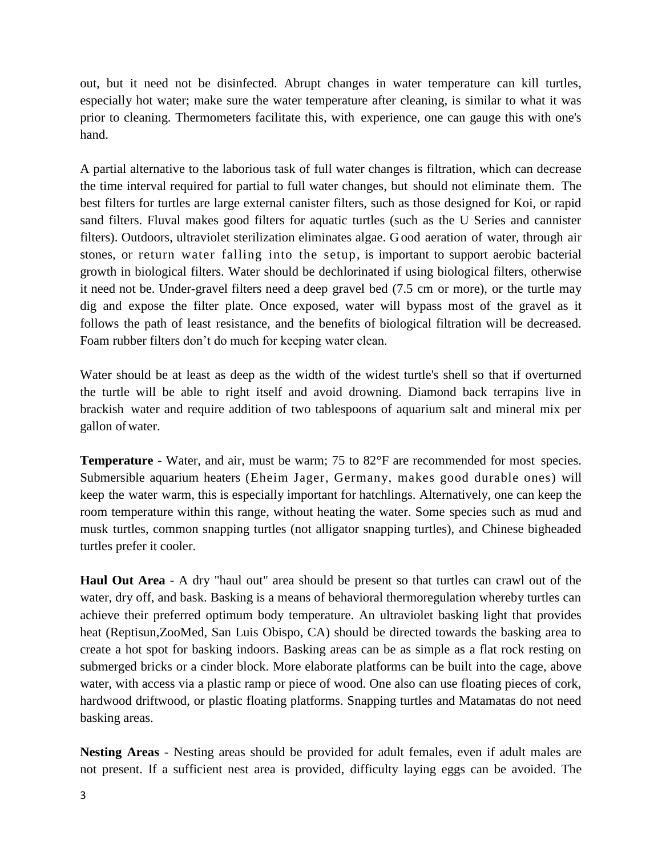out, but it need not be disinfected. Abrupt changes in water temperature can kill turtles, especially hot water; make sure the water temperature after cleaning, is similar to what it was prior to cleaning. Thermometers facilitate this, with experience, one can gauge this with one's hand.

A partial alternative to the laborious task of full water changes is filtration, which can decrease the time interval required for partial to full water changes, but should not eliminate them. The best filters for turtles are large external canister filters, such as those designed for Koi, or rapid sand filters. Fluval makes good filters for aquatic turtles (such as the U Series and cannister filters). Outdoors, ultraviolet sterilization eliminates algae. G ood aeration of water, through air stones, or return water falling into the setup, is important to support aerobic bacterial growth in biological filters. Water should be dechlorinated if using biological filters, otherwise it need not be. Under-gravel filters need a deep gravel bed (7.5 cm or more), or the turtle may dig and expose the filter plate. Once exposed, water will bypass most of the gravel as it follows the path of least resistance, and the benefits of biological filtration will be decreased. Foam rubber filters don't do much for keeping water clean.

Water should be at least as deep as the width of the widest turtle's shell so that if overturned the turtle will be able to right itself and avoid drowning. Diamond back terrapins live in brackish water and require addition of two tablespoons of aquarium salt and mineral mix per gallon ofwater.

**Temperature** - Water, and air, must be warm; 75 to 82°F are recommended for most species. Submersible aquarium heaters (Eheim Jager, Germany, makes good durable ones) will keep the water warm, this is especially important for hatchlings. Alternatively, one can keep the room temperature within this range, without heating the water. Some species such as mud and musk turtles, common snapping turtles (not alligator snapping turtles), and Chinese bigheaded turtles prefer it cooler.

**Haul Out Area** - A dry "haul out" area should be present so that turtles can crawl out of the water, dry off, and bask. Basking is a means of behavioral thermoregulation whereby turtles can achieve their preferred optimum body temperature. An ultraviolet basking light that provides heat (Reptisun,ZooMed, San Luis Obispo, CA) should be directed towards the basking area to create a hot spot for basking indoors. Basking areas can be as simple as a flat rock resting on submerged bricks or a cinder block. More elaborate platforms can be built into the cage, above water, with access via a plastic ramp or piece of wood. One also can use floating pieces of cork, hardwood driftwood, or plastic floating platforms. Snapping turtles and Matamatas do not need basking areas.

**Nesting Areas** - Nesting areas should be provided for adult females, even if adult males are not present. If a sufficient nest area is provided, difficulty laying eggs can be avoided. The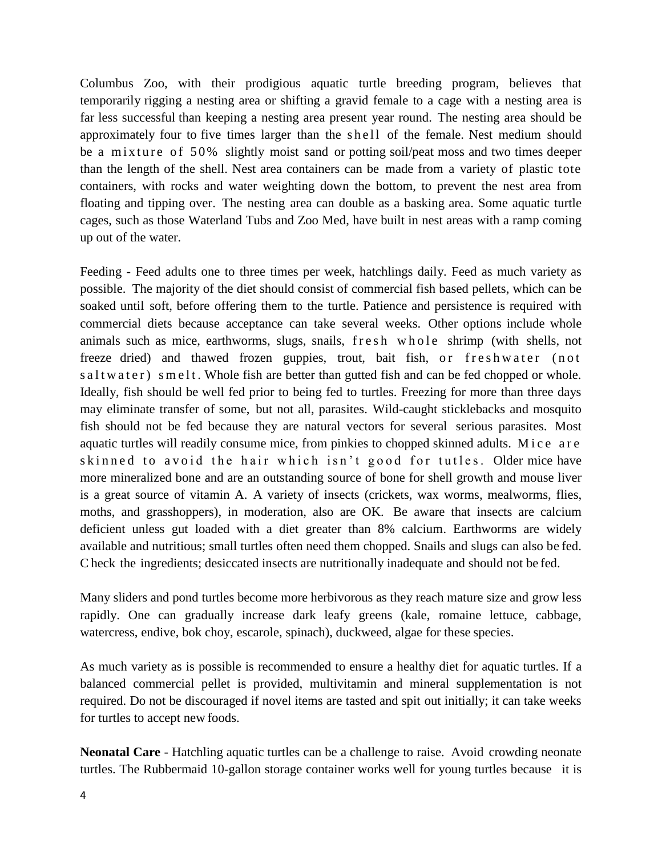Columbus Zoo, with their prodigious aquatic turtle breeding program, believes that temporarily rigging a nesting area or shifting a gravid female to a cage with a nesting area is far less successful than keeping a nesting area present year round. The nesting area should be approximately four to five times larger than the shell of the female. Nest medium should be a mixture of 50% slightly moist sand or potting soil/peat moss and two times deeper than the length of the shell. Nest area containers can be made from a variety of plastic tote containers, with rocks and water weighting down the bottom, to prevent the nest area from floating and tipping over. The nesting area can double as a basking area. Some aquatic turtle cages, such as those Waterland Tubs and Zoo Med, have built in nest areas with a ramp coming up out of the water.

Feeding - Feed adults one to three times per week, hatchlings daily. Feed as much variety as possible. The majority of the diet should consist of commercial fish based pellets, which can be soaked until soft, before offering them to the turtle. Patience and persistence is required with commercial diets because acceptance can take several weeks. Other options include whole animals such as mice, earthworms, slugs, snails, fresh whole shrimp (with shells, not freeze dried) and thawed frozen guppies, trout, bait fish, or freshwater (not s a l t w a t e r ) s m e l t . Whole fish are better than gutted fish and can be fed chopped or whole. Ideally, fish should be well fed prior to being fed to turtles. Freezing for more than three days may eliminate transfer of some, but not all, parasites. Wild-caught sticklebacks and mosquito fish should not be fed because they are natural vectors for several serious parasites. Most aquatic turtles will readily consume mice, from pinkies to chopped skinned adults. Mice are skinned to avoid the hair which isn't good for tutles. Older mice have more mineralized bone and are an outstanding source of bone for shell growth and mouse liver is a great source of vitamin A. A variety of insects (crickets, wax worms, mealworms, flies, moths, and grasshoppers), in moderation, also are OK. Be aware that insects are calcium deficient unless gut loaded with a diet greater than 8% calcium. Earthworms are widely available and nutritious; small turtles often need them chopped. Snails and slugs can also be fed. C heck the ingredients; desiccated insects are nutritionally inadequate and should not be fed.

Many sliders and pond turtles become more herbivorous as they reach mature size and grow less rapidly. One can gradually increase dark leafy greens (kale, romaine lettuce, cabbage, watercress, endive, bok choy, escarole, spinach), duckweed, algae for these species.

As much variety as is possible is recommended to ensure a healthy diet for aquatic turtles. If a balanced commercial pellet is provided, multivitamin and mineral supplementation is not required. Do not be discouraged if novel items are tasted and spit out initially; it can take weeks for turtles to accept new foods.

**Neonatal Care** - Hatchling aquatic turtles can be a challenge to raise. Avoid crowding neonate turtles. The Rubbermaid 10-gallon storage container works well for young turtles because it is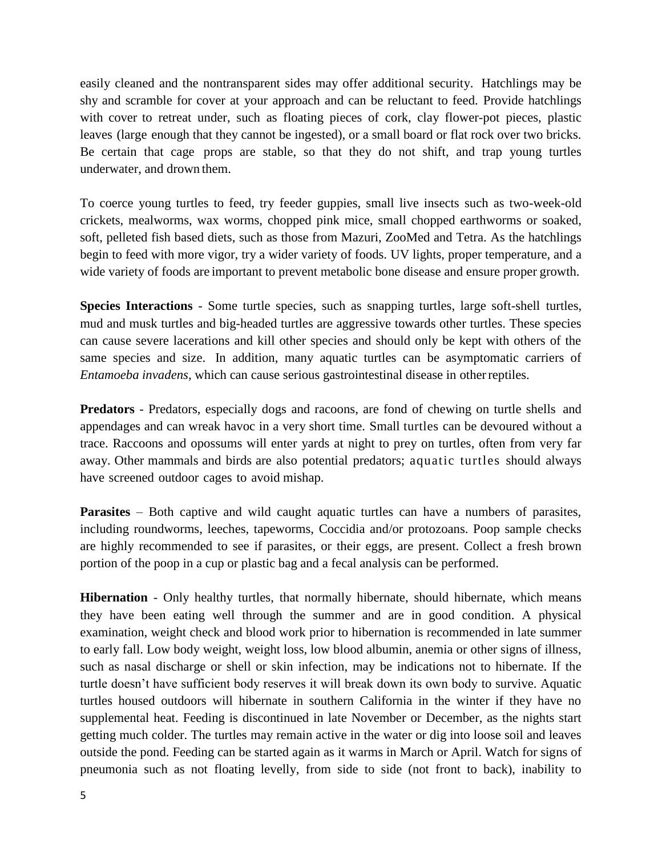easily cleaned and the nontransparent sides may offer additional security. Hatchlings may be shy and scramble for cover at your approach and can be reluctant to feed. Provide hatchlings with cover to retreat under, such as floating pieces of cork, clay flower-pot pieces, plastic leaves (large enough that they cannot be ingested), or a small board or flat rock over two bricks. Be certain that cage props are stable, so that they do not shift, and trap young turtles underwater, and drown them.

To coerce young turtles to feed, try feeder guppies, small live insects such as two-week-old crickets, mealworms, wax worms, chopped pink mice, small chopped earthworms or soaked, soft, pelleted fish based diets, such as those from Mazuri, ZooMed and Tetra. As the hatchlings begin to feed with more vigor, try a wider variety of foods. UV lights, proper temperature, and a wide variety of foods are important to prevent metabolic bone disease and ensure proper growth.

**Species Interactions** - Some turtle species, such as snapping turtles, large soft-shell turtles, mud and musk turtles and big-headed turtles are aggressive towards other turtles. These species can cause severe lacerations and kill other species and should only be kept with others of the same species and size. In addition, many aquatic turtles can be asymptomatic carriers of *Entamoeba invadens*, which can cause serious gastrointestinal disease in otherreptiles.

**Predators** - Predators, especially dogs and racoons, are fond of chewing on turtle shells and appendages and can wreak havoc in a very short time. Small turtles can be devoured without a trace. Raccoons and opossums will enter yards at night to prey on turtles, often from very far away. Other mammals and birds are also potential predators; aquatic turtles should always have screened outdoor cages to avoid mishap.

**Parasites** – Both captive and wild caught aquatic turtles can have a numbers of parasites, including roundworms, leeches, tapeworms, Coccidia and/or protozoans. Poop sample checks are highly recommended to see if parasites, or their eggs, are present. Collect a fresh brown portion of the poop in a cup or plastic bag and a fecal analysis can be performed.

**Hibernation** - Only healthy turtles, that normally hibernate, should hibernate, which means they have been eating well through the summer and are in good condition. A physical examination, weight check and blood work prior to hibernation is recommended in late summer to early fall. Low body weight, weight loss, low blood albumin, anemia or other signs of illness, such as nasal discharge or shell or skin infection, may be indications not to hibernate. If the turtle doesn't have sufficient body reserves it will break down its own body to survive. Aquatic turtles housed outdoors will hibernate in southern California in the winter if they have no supplemental heat. Feeding is discontinued in late November or December, as the nights start getting much colder. The turtles may remain active in the water or dig into loose soil and leaves outside the pond. Feeding can be started again as it warms in March or April. Watch for signs of pneumonia such as not floating levelly, from side to side (not front to back), inability to